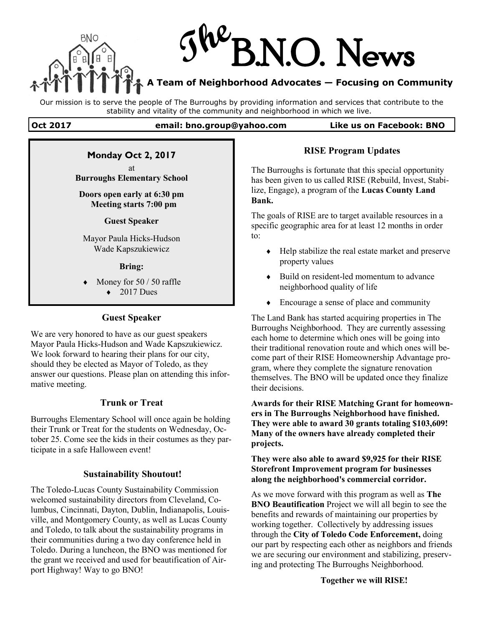

Our mission is to serve the people of The Burroughs by providing information and services that contribute to the stability and vitality of the community and neighborhood in which we live.

#### **Oct 2017 email: bno.group@yahoo.com Like us on Facebook: BNO**

## **Monday Oct 2, 2017**

at **Burroughs Elementary School**

#### **Doors open early at 6:30 pm Meeting starts 7:00 pm**

#### **Guest Speaker**

Mayor Paula Hicks-Hudson Wade Kapszukiewicz

#### **Bring:**

- Money for 50 / 50 raffle
	- $\triangleleft$  2017 Dues

### **Guest Speaker**

We are very honored to have as our guest speakers Mayor Paula Hicks-Hudson and Wade Kapszukiewicz. We look forward to hearing their plans for our city, should they be elected as Mayor of Toledo, as they answer our questions. Please plan on attending this informative meeting.

### **Trunk or Treat**

Burroughs Elementary School will once again be holding their Trunk or Treat for the students on Wednesday, October 25. Come see the kids in their costumes as they participate in a safe Halloween event!

### **Sustainability Shoutout!**

The Toledo-Lucas County Sustainability Commission welcomed sustainability directors from Cleveland, Columbus, Cincinnati, Dayton, Dublin, Indianapolis, Louisville, and Montgomery County, as well as Lucas County and Toledo, to talk about the sustainability programs in their communities during a two day conference held in Toledo. During a luncheon, the BNO was mentioned for the grant we received and used for beautification of Airport Highway! Way to go BNO!

### **RISE Program Updates**

The Burroughs is fortunate that this special opportunity has been given to us called RISE (Rebuild, Invest, Stabilize, Engage), a program of the **Lucas County Land Bank.**

The goals of RISE are to target available resources in a specific geographic area for at least 12 months in order to:

- Help stabilize the real estate market and preserve property values
- Build on resident-led momentum to advance neighborhood quality of life
- Encourage a sense of place and community

The Land Bank has started acquiring properties in The Burroughs Neighborhood. They are currently assessing each home to determine which ones will be going into their traditional renovation route and which ones will become part of their RISE Homeownership Advantage program, where they complete the signature renovation themselves. The BNO will be updated once they finalize their decisions.

**Awards for their RISE Matching Grant for homeowners in The Burroughs Neighborhood have finished. They were able to award 30 grants totaling \$103,609! Many of the owners have already completed their projects.**

**They were also able to award \$9,925 for their RISE Storefront Improvement program for businesses along the neighborhood's commercial corridor.**

As we move forward with this program as well as **The BNO Beautification** Project we will all begin to see the benefits and rewards of maintaining our properties by working together. Collectively by addressing issues through the **City of Toledo Code Enforcement,** doing our part by respecting each other as neighbors and friends we are securing our environment and stabilizing, preserving and protecting The Burroughs Neighborhood.

**Together we will RISE!**